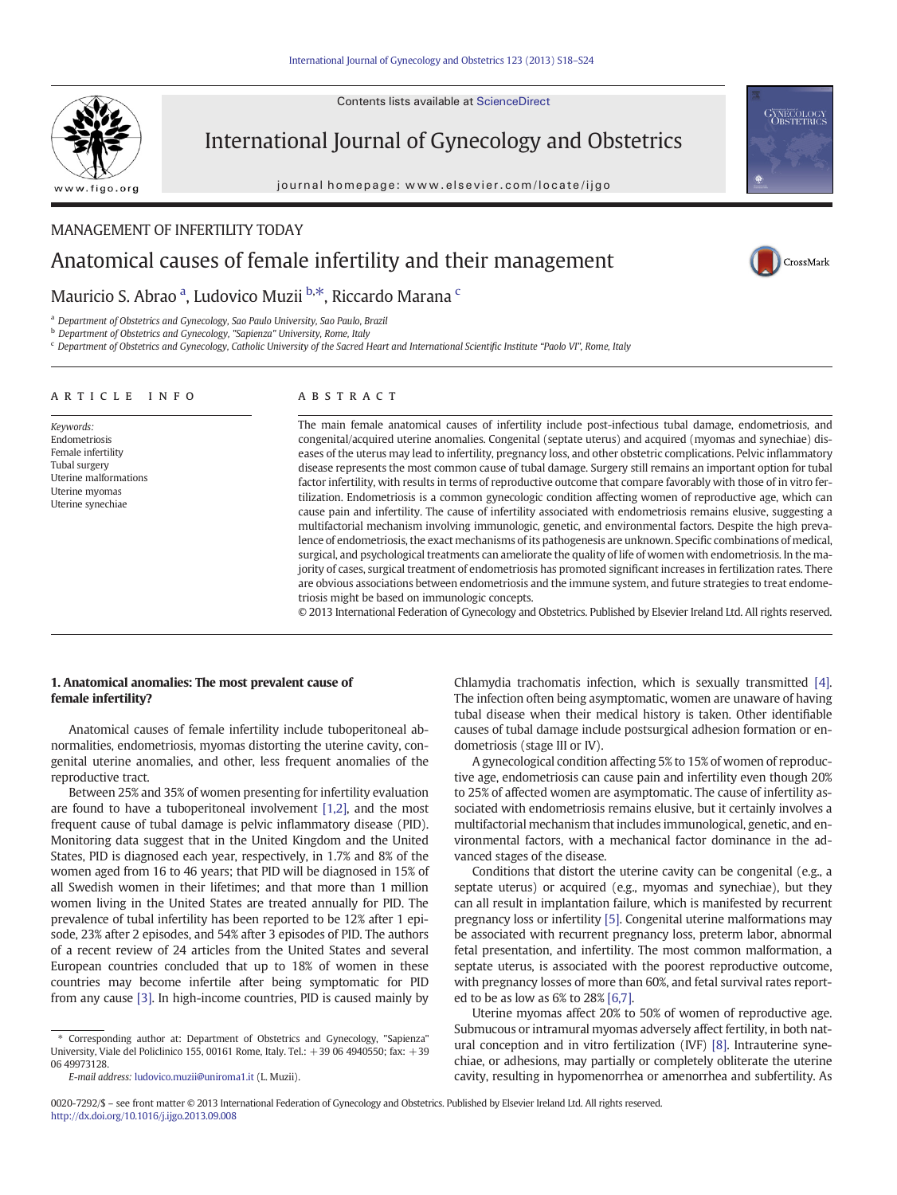Contents lists available at ScienceDirect



International Journal of Gynecology and Obstetrics

journal homepage: www.elsevier.com/locate/ijgo



# MANAGEMENT OF INFERTILITY TODAY Anatomical causes of female infertility and their management



# Mauricio S. Abrao <sup>a</sup>, Ludovico Muzii <sup>b,\*</sup>, Riccardo Marana <sup>c</sup>

<sup>a</sup> Department of Obstetrics and Gynecology, Sao Paulo University, Sao Paulo, Brazil

b Department of Obstetrics and Gynecology, "Sapienza" University, Rome, Italy

<sup>c</sup> Department of Obstetrics and Gynecology, Catholic University of the Sacred Heart and International Scientific Institute "Paolo VI", Rome, Italy

| ARTICLE INFO                                                                                                                      | <b>ABSTRACT</b>                                                                                                                                                                                                                                                                                                                                                                                                                                                                                                                                                                                                                                                                                                                                                                                                                                                                                                                                                                                                                                                                                                                                                                                                                                                                                            |
|-----------------------------------------------------------------------------------------------------------------------------------|------------------------------------------------------------------------------------------------------------------------------------------------------------------------------------------------------------------------------------------------------------------------------------------------------------------------------------------------------------------------------------------------------------------------------------------------------------------------------------------------------------------------------------------------------------------------------------------------------------------------------------------------------------------------------------------------------------------------------------------------------------------------------------------------------------------------------------------------------------------------------------------------------------------------------------------------------------------------------------------------------------------------------------------------------------------------------------------------------------------------------------------------------------------------------------------------------------------------------------------------------------------------------------------------------------|
| Keywords:<br>Endometriosis<br>Female infertility<br>Tubal surgery<br>Uterine malformations<br>Uterine myomas<br>Uterine synechiae | The main female anatomical causes of infertility include post-infectious tubal damage, endometriosis, and<br>congenital/acquired uterine anomalies. Congenital (septate uterus) and acquired (myomas and synechiae) dis-<br>eases of the uterus may lead to infertility, pregnancy loss, and other obstetric complications. Pelvic inflammatory<br>disease represents the most common cause of tubal damage. Surgery still remains an important option for tubal<br>factor infertility, with results in terms of reproductive outcome that compare favorably with those of in vitro fer-<br>tilization. Endometriosis is a common gynecologic condition affecting women of reproductive age, which can<br>cause pain and infertility. The cause of infertility associated with endometriosis remains elusive, suggesting a<br>multifactorial mechanism involving immunologic, genetic, and environmental factors. Despite the high preva-<br>lence of endometriosis, the exact mechanisms of its pathogenesis are unknown. Specific combinations of medical,<br>surgical, and psychological treatments can ameliorate the quality of life of women with endometriosis. In the ma-<br>jority of cases, surgical treatment of endometriosis has promoted significant increases in fertilization rates. There |

triosis might be based on immunologic concepts.

1. Anatomical anomalies: The most prevalent cause of female infertility?

Anatomical causes of female infertility include tuboperitoneal abnormalities, endometriosis, myomas distorting the uterine cavity, congenital uterine anomalies, and other, less frequent anomalies of the reproductive tract.

Between 25% and 35% of women presenting for infertility evaluation are found to have a tuboperitoneal involvement [\[1,2\]](#page-4-0), and the most frequent cause of tubal damage is pelvic inflammatory disease (PID). Monitoring data suggest that in the United Kingdom and the United States, PID is diagnosed each year, respectively, in 1.7% and 8% of the women aged from 16 to 46 years; that PID will be diagnosed in 15% of all Swedish women in their lifetimes; and that more than 1 million women living in the United States are treated annually for PID. The prevalence of tubal infertility has been reported to be 12% after 1 episode, 23% after 2 episodes, and 54% after 3 episodes of PID. The authors of a recent review of 24 articles from the United States and several European countries concluded that up to 18% of women in these countries may become infertile after being symptomatic for PID from any cause [\[3\].](#page-4-0) In high-income countries, PID is caused mainly by

Chlamydia trachomatis infection, which is sexually transmitted [\[4\].](#page-4-0) The infection often being asymptomatic, women are unaware of having tubal disease when their medical history is taken. Other identifiable causes of tubal damage include postsurgical adhesion formation or endometriosis (stage III or IV).

are obvious associations between endometriosis and the immune system, and future strategies to treat endome-

© 2013 International Federation of Gynecology and Obstetrics. Published by Elsevier Ireland Ltd. All rights reserved.

A gynecological condition affecting 5% to 15% of women of reproductive age, endometriosis can cause pain and infertility even though 20% to 25% of affected women are asymptomatic. The cause of infertility associated with endometriosis remains elusive, but it certainly involves a multifactorial mechanism that includes immunological, genetic, and environmental factors, with a mechanical factor dominance in the advanced stages of the disease.

Conditions that distort the uterine cavity can be congenital (e.g., a septate uterus) or acquired (e.g., myomas and synechiae), but they can all result in implantation failure, which is manifested by recurrent pregnancy loss or infertility [\[5\]](#page-4-0). Congenital uterine malformations may be associated with recurrent pregnancy loss, preterm labor, abnormal fetal presentation, and infertility. The most common malformation, a septate uterus, is associated with the poorest reproductive outcome, with pregnancy losses of more than 60%, and fetal survival rates reported to be as low as 6% to 28% [\[6,7\].](#page-4-0)

Uterine myomas affect 20% to 50% of women of reproductive age. Submucous or intramural myomas adversely affect fertility, in both natural conception and in vitro fertilization (IVF) [\[8\].](#page-4-0) Intrauterine synechiae, or adhesions, may partially or completely obliterate the uterine cavity, resulting in hypomenorrhea or amenorrhea and subfertility. As

<sup>⁎</sup> Corresponding author at: Department of Obstetrics and Gynecology, "Sapienza" University, Viale del Policlinico 155, 00161 Rome, Italy. Tel.: +39 06 4940550; fax: +39 06 49973128.

E-mail address: [ludovico.muzii@uniroma1.it](mailto:ludovico.muzii@uniroma1.it) (L. Muzii).

<sup>0020-7292/\$</sup> – see front matter © 2013 International Federation of Gynecology and Obstetrics. Published by Elsevier Ireland Ltd. All rights reserved. <http://dx.doi.org/10.1016/j.ijgo.2013.09.008>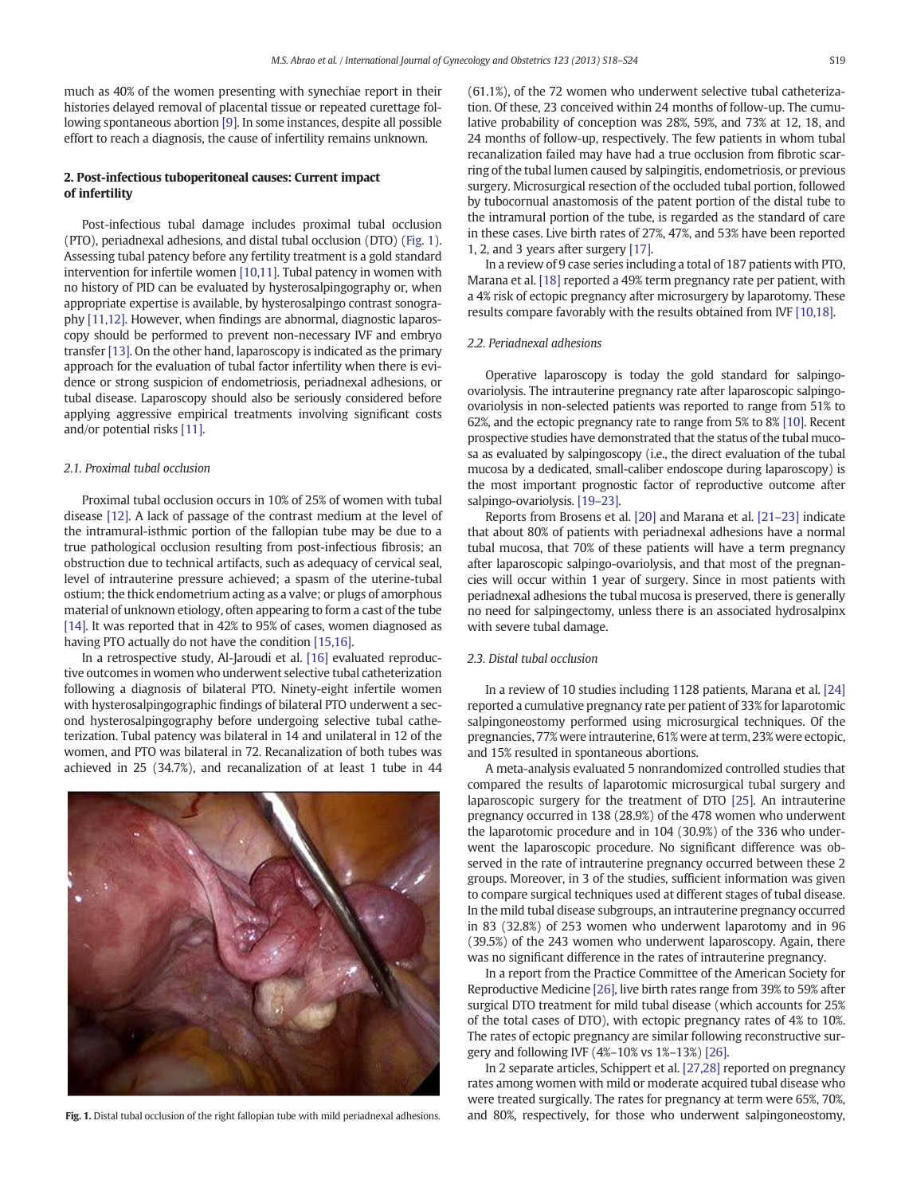much as 40% of the women presenting with synechiae report in their histories delayed removal of placental tissue or repeated curettage following spontaneous abortion [\[9\]](#page-4-0). In some instances, despite all possible effort to reach a diagnosis, the cause of infertility remains unknown.

## 2. Post-infectious tuboperitoneal causes: Current impact of infertility

Post-infectious tubal damage includes proximal tubal occlusion (PTO), periadnexal adhesions, and distal tubal occlusion (DTO) (Fig. 1). Assessing tubal patency before any fertility treatment is a gold standard intervention for infertile women [\[10,11\].](#page-4-0) Tubal patency in women with no history of PID can be evaluated by hysterosalpingography or, when appropriate expertise is available, by hysterosalpingo contrast sonography [\[11,12\]](#page-4-0). However, when findings are abnormal, diagnostic laparoscopy should be performed to prevent non-necessary IVF and embryo transfer [\[13\]](#page-4-0). On the other hand, laparoscopy is indicated as the primary approach for the evaluation of tubal factor infertility when there is evidence or strong suspicion of endometriosis, periadnexal adhesions, or tubal disease. Laparoscopy should also be seriously considered before applying aggressive empirical treatments involving significant costs and/or potential risks [\[11\].](#page-4-0)

#### 2.1. Proximal tubal occlusion

Proximal tubal occlusion occurs in 10% of 25% of women with tubal disease [\[12\]](#page-4-0). A lack of passage of the contrast medium at the level of the intramural-isthmic portion of the fallopian tube may be due to a true pathological occlusion resulting from post-infectious fibrosis; an obstruction due to technical artifacts, such as adequacy of cervical seal, level of intrauterine pressure achieved; a spasm of the uterine-tubal ostium; the thick endometrium acting as a valve; or plugs of amorphous material of unknown etiology, often appearing to form a cast of the tube [\[14\].](#page-4-0) It was reported that in 42% to 95% of cases, women diagnosed as having PTO actually do not have the condition [\[15,16\]](#page-4-0).

In a retrospective study, Al-Jaroudi et al. [\[16\]](#page-4-0) evaluated reproductive outcomes in women who underwent selective tubal catheterization following a diagnosis of bilateral PTO. Ninety-eight infertile women with hysterosalpingographic findings of bilateral PTO underwent a second hysterosalpingography before undergoing selective tubal catheterization. Tubal patency was bilateral in 14 and unilateral in 12 of the women, and PTO was bilateral in 72. Recanalization of both tubes was achieved in 25 (34.7%), and recanalization of at least 1 tube in 44



(61.1%), of the 72 women who underwent selective tubal catheterization. Of these, 23 conceived within 24 months of follow-up. The cumulative probability of conception was 28%, 59%, and 73% at 12, 18, and 24 months of follow-up, respectively. The few patients in whom tubal recanalization failed may have had a true occlusion from fibrotic scarring of the tubal lumen caused by salpingitis, endometriosis, or previous surgery. Microsurgical resection of the occluded tubal portion, followed by tubocornual anastomosis of the patent portion of the distal tube to the intramural portion of the tube, is regarded as the standard of care in these cases. Live birth rates of 27%, 47%, and 53% have been reported 1, 2, and 3 years after surgery [\[17\]](#page-4-0).

In a review of 9 case series including a total of 187 patients with PTO, Marana et al. [\[18\]](#page-4-0) reported a 49% term pregnancy rate per patient, with a 4% risk of ectopic pregnancy after microsurgery by laparotomy. These results compare favorably with the results obtained from IVF [\[10,18\]](#page-4-0).

#### 2.2. Periadnexal adhesions

Operative laparoscopy is today the gold standard for salpingoovariolysis. The intrauterine pregnancy rate after laparoscopic salpingoovariolysis in non-selected patients was reported to range from 51% to 62%, and the ectopic pregnancy rate to range from 5% to 8% [\[10\]](#page-4-0). Recent prospective studies have demonstrated that the status of the tubal mucosa as evaluated by salpingoscopy (i.e., the direct evaluation of the tubal mucosa by a dedicated, small-caliber endoscope during laparoscopy) is the most important prognostic factor of reproductive outcome after salpingo-ovariolysis. [19–[23\].](#page-4-0)

Reports from Brosens et al. [\[20\]](#page-4-0) and Marana et al. [21–[23\]](#page-4-0) indicate that about 80% of patients with periadnexal adhesions have a normal tubal mucosa, that 70% of these patients will have a term pregnancy after laparoscopic salpingo-ovariolysis, and that most of the pregnancies will occur within 1 year of surgery. Since in most patients with periadnexal adhesions the tubal mucosa is preserved, there is generally no need for salpingectomy, unless there is an associated hydrosalpinx with severe tubal damage.

#### 2.3. Distal tubal occlusion

In a review of 10 studies including 1128 patients, Marana et al. [\[24\]](#page-4-0) reported a cumulative pregnancy rate per patient of 33% for laparotomic salpingoneostomy performed using microsurgical techniques. Of the pregnancies, 77% were intrauterine, 61% were at term, 23% were ectopic, and 15% resulted in spontaneous abortions.

A meta-analysis evaluated 5 nonrandomized controlled studies that compared the results of laparotomic microsurgical tubal surgery and laparoscopic surgery for the treatment of DTO [\[25\]](#page-4-0). An intrauterine pregnancy occurred in 138 (28.9%) of the 478 women who underwent the laparotomic procedure and in 104 (30.9%) of the 336 who underwent the laparoscopic procedure. No significant difference was observed in the rate of intrauterine pregnancy occurred between these 2 groups. Moreover, in 3 of the studies, sufficient information was given to compare surgical techniques used at different stages of tubal disease. In the mild tubal disease subgroups, an intrauterine pregnancy occurred in 83 (32.8%) of 253 women who underwent laparotomy and in 96 (39.5%) of the 243 women who underwent laparoscopy. Again, there was no significant difference in the rates of intrauterine pregnancy.

In a report from the Practice Committee of the American Society for Reproductive Medicine [\[26\]](#page-4-0), live birth rates range from 39% to 59% after surgical DTO treatment for mild tubal disease (which accounts for 25% of the total cases of DTO), with ectopic pregnancy rates of 4% to 10%. The rates of ectopic pregnancy are similar following reconstructive surgery and following IVF (4%–10% vs 1%–13%) [\[26\].](#page-4-0)

In 2 separate articles, Schippert et al. [\[27,28\]](#page-4-0) reported on pregnancy rates among women with mild or moderate acquired tubal disease who were treated surgically. The rates for pregnancy at term were 65%, 70%, Fig. 1. Distal tubal occlusion of the right fallopian tube with mild periadnexal adhesions. and 80%, respectively, for those who underwent salpingoneostomy,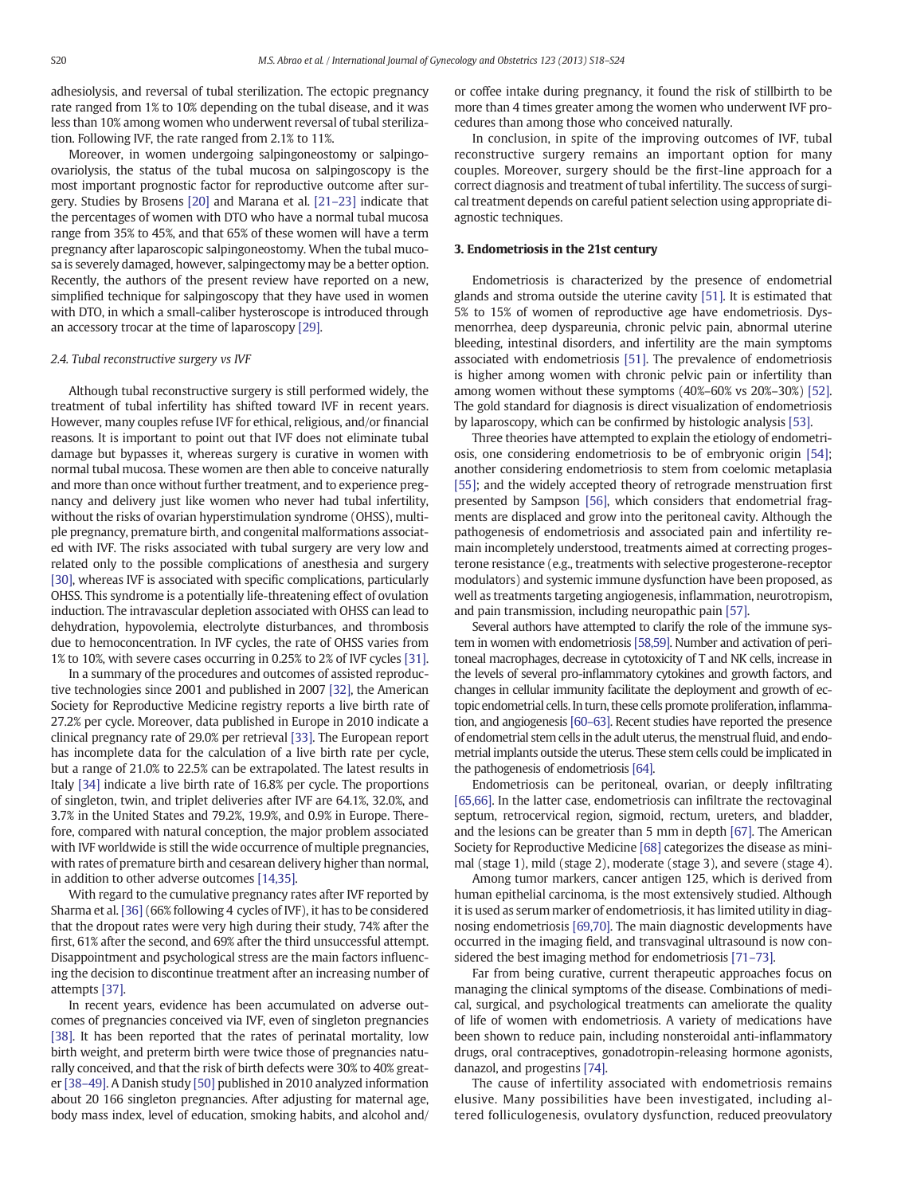adhesiolysis, and reversal of tubal sterilization. The ectopic pregnancy rate ranged from 1% to 10% depending on the tubal disease, and it was less than 10% among women who underwent reversal of tubal sterilization. Following IVF, the rate ranged from 2.1% to 11%.

Moreover, in women undergoing salpingoneostomy or salpingoovariolysis, the status of the tubal mucosa on salpingoscopy is the most important prognostic factor for reproductive outcome after surgery. Studies by Brosens [\[20\]](#page-4-0) and Marana et al. [\[21](#page-4-0)–23] indicate that the percentages of women with DTO who have a normal tubal mucosa range from 35% to 45%, and that 65% of these women will have a term pregnancy after laparoscopic salpingoneostomy. When the tubal mucosa is severely damaged, however, salpingectomy may be a better option. Recently, the authors of the present review have reported on a new, simplified technique for salpingoscopy that they have used in women with DTO, in which a small-caliber hysteroscope is introduced through an accessory trocar at the time of laparoscopy [\[29\]](#page-4-0).

#### 2.4. Tubal reconstructive surgery vs IVF

Although tubal reconstructive surgery is still performed widely, the treatment of tubal infertility has shifted toward IVF in recent years. However, many couples refuse IVF for ethical, religious, and/or financial reasons. It is important to point out that IVF does not eliminate tubal damage but bypasses it, whereas surgery is curative in women with normal tubal mucosa. These women are then able to conceive naturally and more than once without further treatment, and to experience pregnancy and delivery just like women who never had tubal infertility, without the risks of ovarian hyperstimulation syndrome (OHSS), multiple pregnancy, premature birth, and congenital malformations associated with IVF. The risks associated with tubal surgery are very low and related only to the possible complications of anesthesia and surgery [\[30\]](#page-4-0), whereas IVF is associated with specific complications, particularly OHSS. This syndrome is a potentially life-threatening effect of ovulation induction. The intravascular depletion associated with OHSS can lead to dehydration, hypovolemia, electrolyte disturbances, and thrombosis due to hemoconcentration. In IVF cycles, the rate of OHSS varies from 1% to 10%, with severe cases occurring in 0.25% to 2% of IVF cycles [\[31\].](#page-4-0)

In a summary of the procedures and outcomes of assisted reproductive technologies since 2001 and published in 2007 [\[32\],](#page-5-0) the American Society for Reproductive Medicine registry reports a live birth rate of 27.2% per cycle. Moreover, data published in Europe in 2010 indicate a clinical pregnancy rate of 29.0% per retrieval [\[33\]](#page-5-0). The European report has incomplete data for the calculation of a live birth rate per cycle, but a range of 21.0% to 22.5% can be extrapolated. The latest results in Italy [\[34\]](#page-5-0) indicate a live birth rate of 16.8% per cycle. The proportions of singleton, twin, and triplet deliveries after IVF are 64.1%, 32.0%, and 3.7% in the United States and 79.2%, 19.9%, and 0.9% in Europe. Therefore, compared with natural conception, the major problem associated with IVF worldwide is still the wide occurrence of multiple pregnancies, with rates of premature birth and cesarean delivery higher than normal, in addition to other adverse outcomes [\[14,35\]](#page-4-0).

With regard to the cumulative pregnancy rates after IVF reported by Sharma et al. [\[36\]](#page-5-0) (66% following 4 cycles of IVF), it has to be considered that the dropout rates were very high during their study, 74% after the first, 61% after the second, and 69% after the third unsuccessful attempt. Disappointment and psychological stress are the main factors influencing the decision to discontinue treatment after an increasing number of attempts [\[37\].](#page-5-0)

In recent years, evidence has been accumulated on adverse outcomes of pregnancies conceived via IVF, even of singleton pregnancies [\[38\]](#page-5-0). It has been reported that the rates of perinatal mortality, low birth weight, and preterm birth were twice those of pregnancies naturally conceived, and that the risk of birth defects were 30% to 40% greater [\[38](#page-5-0)–49]. A Danish study [\[50\]](#page-5-0) published in 2010 analyzed information about 20 166 singleton pregnancies. After adjusting for maternal age, body mass index, level of education, smoking habits, and alcohol and/ or coffee intake during pregnancy, it found the risk of stillbirth to be more than 4 times greater among the women who underwent IVF procedures than among those who conceived naturally.

In conclusion, in spite of the improving outcomes of IVF, tubal reconstructive surgery remains an important option for many couples. Moreover, surgery should be the first-line approach for a correct diagnosis and treatment of tubal infertility. The success of surgical treatment depends on careful patient selection using appropriate diagnostic techniques.

#### 3. Endometriosis in the 21st century

Endometriosis is characterized by the presence of endometrial glands and stroma outside the uterine cavity [\[51\]](#page-5-0). It is estimated that 5% to 15% of women of reproductive age have endometriosis. Dysmenorrhea, deep dyspareunia, chronic pelvic pain, abnormal uterine bleeding, intestinal disorders, and infertility are the main symptoms associated with endometriosis [\[51\].](#page-5-0) The prevalence of endometriosis is higher among women with chronic pelvic pain or infertility than among women without these symptoms (40%–60% vs 20%–30%) [\[52\].](#page-5-0) The gold standard for diagnosis is direct visualization of endometriosis by laparoscopy, which can be confirmed by histologic analysis [\[53\]](#page-5-0).

Three theories have attempted to explain the etiology of endometriosis, one considering endometriosis to be of embryonic origin [\[54\]](#page-5-0); another considering endometriosis to stem from coelomic metaplasia [\[55\]](#page-5-0); and the widely accepted theory of retrograde menstruation first presented by Sampson [\[56\]](#page-5-0), which considers that endometrial fragments are displaced and grow into the peritoneal cavity. Although the pathogenesis of endometriosis and associated pain and infertility remain incompletely understood, treatments aimed at correcting progesterone resistance (e.g., treatments with selective progesterone-receptor modulators) and systemic immune dysfunction have been proposed, as well as treatments targeting angiogenesis, inflammation, neurotropism, and pain transmission, including neuropathic pain [\[57\]](#page-5-0).

Several authors have attempted to clarify the role of the immune system in women with endometriosis [\[58,59\].](#page-5-0) Number and activation of peritoneal macrophages, decrease in cytotoxicity of T and NK cells, increase in the levels of several pro-inflammatory cytokines and growth factors, and changes in cellular immunity facilitate the deployment and growth of ectopic endometrial cells. In turn, these cells promote proliferation, inflammation, and angiogenesis [\[60](#page-5-0)–63]. Recent studies have reported the presence of endometrial stem cells in the adult uterus, the menstrual fluid, and endometrial implants outside the uterus. These stem cells could be implicated in the pathogenesis of endometriosis [\[64\]](#page-5-0).

Endometriosis can be peritoneal, ovarian, or deeply infiltrating [\[65,66\].](#page-5-0) In the latter case, endometriosis can infiltrate the rectovaginal septum, retrocervical region, sigmoid, rectum, ureters, and bladder, and the lesions can be greater than 5 mm in depth [\[67\]](#page-5-0). The American Society for Reproductive Medicine [\[68\]](#page-5-0) categorizes the disease as minimal (stage 1), mild (stage 2), moderate (stage 3), and severe (stage 4).

Among tumor markers, cancer antigen 125, which is derived from human epithelial carcinoma, is the most extensively studied. Although it is used as serum marker of endometriosis, it has limited utility in diagnosing endometriosis [\[69,70\]](#page-5-0). The main diagnostic developments have occurred in the imaging field, and transvaginal ultrasound is now considered the best imaging method for endometriosis [71–[73\].](#page-5-0)

Far from being curative, current therapeutic approaches focus on managing the clinical symptoms of the disease. Combinations of medical, surgical, and psychological treatments can ameliorate the quality of life of women with endometriosis. A variety of medications have been shown to reduce pain, including nonsteroidal anti-inflammatory drugs, oral contraceptives, gonadotropin-releasing hormone agonists, danazol, and progestins [\[74\].](#page-5-0)

The cause of infertility associated with endometriosis remains elusive. Many possibilities have been investigated, including altered folliculogenesis, ovulatory dysfunction, reduced preovulatory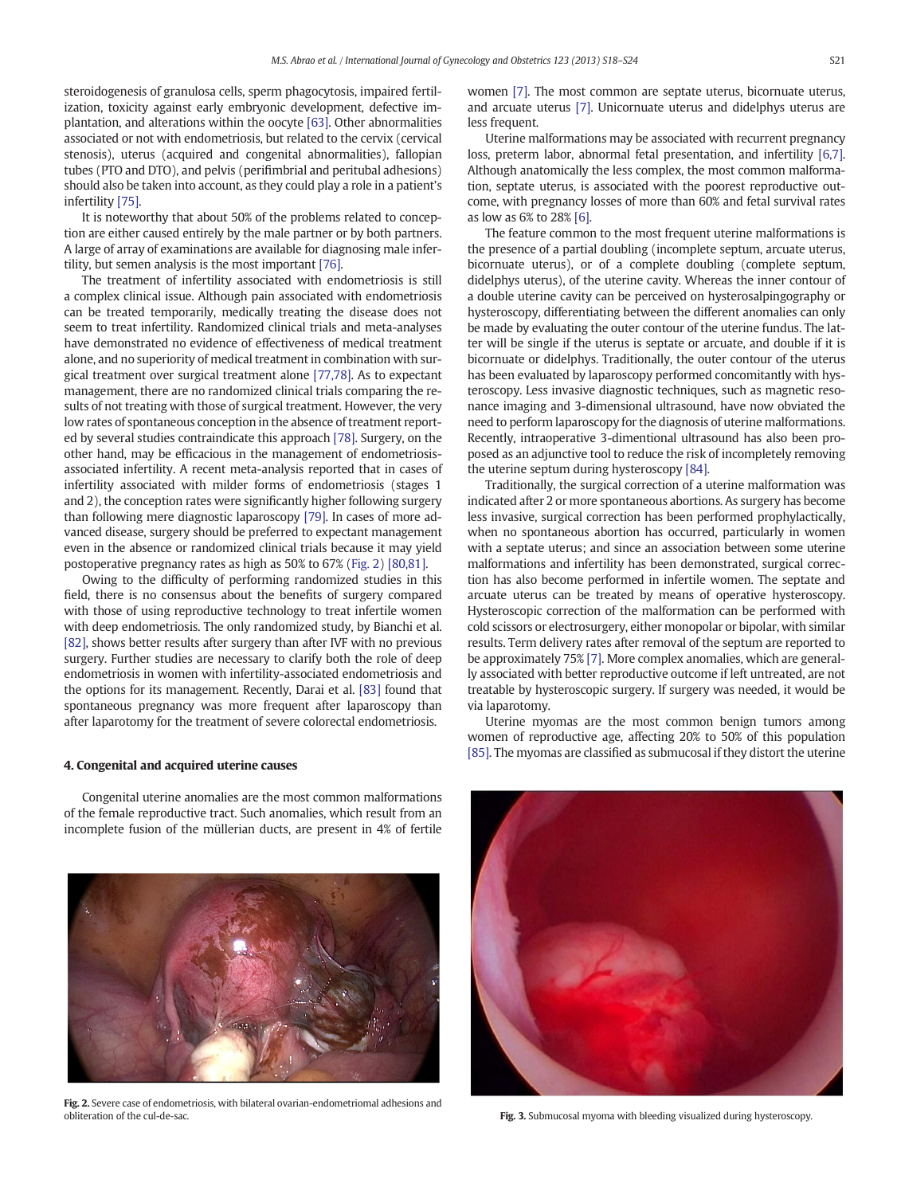<span id="page-3-0"></span>steroidogenesis of granulosa cells, sperm phagocytosis, impaired fertilization, toxicity against early embryonic development, defective implantation, and alterations within the oocyte [\[63\]](#page-5-0). Other abnormalities associated or not with endometriosis, but related to the cervix (cervical stenosis), uterus (acquired and congenital abnormalities), fallopian tubes (PTO and DTO), and pelvis (perifimbrial and peritubal adhesions) should also be taken into account, as they could play a role in a patient's infertility [\[75\]](#page-5-0).

It is noteworthy that about 50% of the problems related to conception are either caused entirely by the male partner or by both partners. A large of array of examinations are available for diagnosing male infertility, but semen analysis is the most important [\[76\]](#page-5-0).

The treatment of infertility associated with endometriosis is still a complex clinical issue. Although pain associated with endometriosis can be treated temporarily, medically treating the disease does not seem to treat infertility. Randomized clinical trials and meta-analyses have demonstrated no evidence of effectiveness of medical treatment alone, and no superiority of medical treatment in combination with surgical treatment over surgical treatment alone [\[77,78\]](#page-5-0). As to expectant management, there are no randomized clinical trials comparing the results of not treating with those of surgical treatment. However, the very low rates of spontaneous conception in the absence of treatment reported by several studies contraindicate this approach [\[78\].](#page-5-0) Surgery, on the other hand, may be efficacious in the management of endometriosisassociated infertility. A recent meta-analysis reported that in cases of infertility associated with milder forms of endometriosis (stages 1 and 2), the conception rates were significantly higher following surgery than following mere diagnostic laparoscopy [\[79\]](#page-5-0). In cases of more advanced disease, surgery should be preferred to expectant management even in the absence or randomized clinical trials because it may yield postoperative pregnancy rates as high as 50% to 67% (Fig. 2) [\[80,81\].](#page-5-0)

Owing to the difficulty of performing randomized studies in this field, there is no consensus about the benefits of surgery compared with those of using reproductive technology to treat infertile women with deep endometriosis. The only randomized study, by Bianchi et al. [\[82\],](#page-5-0) shows better results after surgery than after IVF with no previous surgery. Further studies are necessary to clarify both the role of deep endometriosis in women with infertility-associated endometriosis and the options for its management. Recently, Darai et al. [\[83\]](#page-5-0) found that spontaneous pregnancy was more frequent after laparoscopy than after laparotomy for the treatment of severe colorectal endometriosis.

#### 4. Congenital and acquired uterine causes

Congenital uterine anomalies are the most common malformations of the female reproductive tract. Such anomalies, which result from an incomplete fusion of the müllerian ducts, are present in 4% of fertile



Fig. 2. Severe case of endometriosis, with bilateral ovarian-endometriomal adhesions and obliteration of the cul-de-sac.

women [\[7\]](#page-4-0). The most common are septate uterus, bicornuate uterus, and arcuate uterus [\[7\]](#page-4-0). Unicornuate uterus and didelphys uterus are less frequent.

Uterine malformations may be associated with recurrent pregnancy loss, preterm labor, abnormal fetal presentation, and infertility [\[6,7\].](#page-4-0) Although anatomically the less complex, the most common malformation, septate uterus, is associated with the poorest reproductive outcome, with pregnancy losses of more than 60% and fetal survival rates as low as 6% to 28% [\[6\]](#page-4-0).

The feature common to the most frequent uterine malformations is the presence of a partial doubling (incomplete septum, arcuate uterus, bicornuate uterus), or of a complete doubling (complete septum, didelphys uterus), of the uterine cavity. Whereas the inner contour of a double uterine cavity can be perceived on hysterosalpingography or hysteroscopy, differentiating between the different anomalies can only be made by evaluating the outer contour of the uterine fundus. The latter will be single if the uterus is septate or arcuate, and double if it is bicornuate or didelphys. Traditionally, the outer contour of the uterus has been evaluated by laparoscopy performed concomitantly with hysteroscopy. Less invasive diagnostic techniques, such as magnetic resonance imaging and 3-dimensional ultrasound, have now obviated the need to perform laparoscopy for the diagnosis of uterine malformations. Recently, intraoperative 3-dimentional ultrasound has also been proposed as an adjunctive tool to reduce the risk of incompletely removing the uterine septum during hysteroscopy [\[84\].](#page-5-0)

Traditionally, the surgical correction of a uterine malformation was indicated after 2 or more spontaneous abortions. As surgery has become less invasive, surgical correction has been performed prophylactically, when no spontaneous abortion has occurred, particularly in women with a septate uterus; and since an association between some uterine malformations and infertility has been demonstrated, surgical correction has also become performed in infertile women. The septate and arcuate uterus can be treated by means of operative hysteroscopy. Hysteroscopic correction of the malformation can be performed with cold scissors or electrosurgery, either monopolar or bipolar, with similar results. Term delivery rates after removal of the septum are reported to be approximately 75% [\[7\].](#page-4-0) More complex anomalies, which are generally associated with better reproductive outcome if left untreated, are not treatable by hysteroscopic surgery. If surgery was needed, it would be via laparotomy.

Uterine myomas are the most common benign tumors among women of reproductive age, affecting 20% to 50% of this population [\[85\].](#page-5-0) The myomas are classified as submucosal if they distort the uterine



Fig. 3. Submucosal myoma with bleeding visualized during hysteroscopy.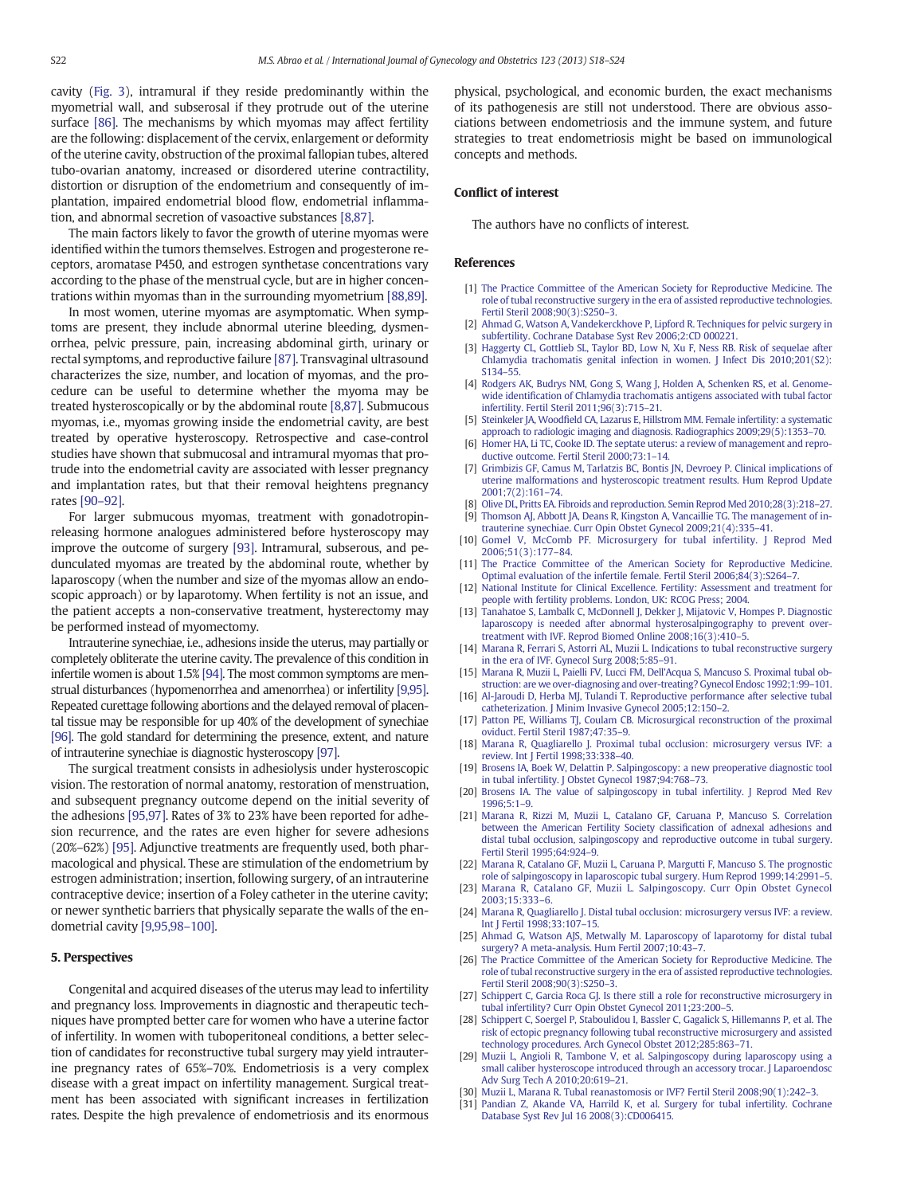<span id="page-4-0"></span>cavity [\(Fig. 3\)](#page-3-0), intramural if they reside predominantly within the myometrial wall, and subserosal if they protrude out of the uterine surface [\[86\].](#page-5-0) The mechanisms by which myomas may affect fertility are the following: displacement of the cervix, enlargement or deformity of the uterine cavity, obstruction of the proximal fallopian tubes, altered tubo-ovarian anatomy, increased or disordered uterine contractility, distortion or disruption of the endometrium and consequently of implantation, impaired endometrial blood flow, endometrial inflammation, and abnormal secretion of vasoactive substances [8,87].

The main factors likely to favor the growth of uterine myomas were identified within the tumors themselves. Estrogen and progesterone receptors, aromatase P450, and estrogen synthetase concentrations vary according to the phase of the menstrual cycle, but are in higher concentrations within myomas than in the surrounding myometrium [\[88,89\]](#page-5-0).

In most women, uterine myomas are asymptomatic. When symptoms are present, they include abnormal uterine bleeding, dysmenorrhea, pelvic pressure, pain, increasing abdominal girth, urinary or rectal symptoms, and reproductive failure [\[87\]](#page-5-0). Transvaginal ultrasound characterizes the size, number, and location of myomas, and the procedure can be useful to determine whether the myoma may be treated hysteroscopically or by the abdominal route [8,87]. Submucous myomas, i.e., myomas growing inside the endometrial cavity, are best treated by operative hysteroscopy. Retrospective and case-control studies have shown that submucosal and intramural myomas that protrude into the endometrial cavity are associated with lesser pregnancy and implantation rates, but that their removal heightens pregnancy rates [\[90](#page-5-0)–92].

For larger submucous myomas, treatment with gonadotropinreleasing hormone analogues administered before hysteroscopy may improve the outcome of surgery [\[93\]](#page-5-0). Intramural, subserous, and pedunculated myomas are treated by the abdominal route, whether by laparoscopy (when the number and size of the myomas allow an endoscopic approach) or by laparotomy. When fertility is not an issue, and the patient accepts a non-conservative treatment, hysterectomy may be performed instead of myomectomy.

Intrauterine synechiae, i.e., adhesions inside the uterus, may partially or completely obliterate the uterine cavity. The prevalence of this condition in infertile women is about 1.5% [\[94\].](#page-5-0) The most common symptoms are menstrual disturbances (hypomenorrhea and amenorrhea) or infertility [9,95]. Repeated curettage following abortions and the delayed removal of placental tissue may be responsible for up 40% of the development of synechiae [\[96\]](#page-5-0). The gold standard for determining the presence, extent, and nature of intrauterine synechiae is diagnostic hysteroscopy [\[97\].](#page-6-0)

The surgical treatment consists in adhesiolysis under hysteroscopic vision. The restoration of normal anatomy, restoration of menstruation, and subsequent pregnancy outcome depend on the initial severity of the adhesions [\[95,97\].](#page-5-0) Rates of 3% to 23% have been reported for adhesion recurrence, and the rates are even higher for severe adhesions (20%–62%) [\[95\].](#page-5-0) Adjunctive treatments are frequently used, both pharmacological and physical. These are stimulation of the endometrium by estrogen administration; insertion, following surgery, of an intrauterine contraceptive device; insertion of a Foley catheter in the uterine cavity; or newer synthetic barriers that physically separate the walls of the endometrial cavity [9,95,98–100].

#### 5. Perspectives

Congenital and acquired diseases of the uterus may lead to infertility and pregnancy loss. Improvements in diagnostic and therapeutic techniques have prompted better care for women who have a uterine factor of infertility. In women with tuboperitoneal conditions, a better selection of candidates for reconstructive tubal surgery may yield intrauterine pregnancy rates of 65%–70%. Endometriosis is a very complex disease with a great impact on infertility management. Surgical treatment has been associated with significant increases in fertilization rates. Despite the high prevalence of endometriosis and its enormous physical, psychological, and economic burden, the exact mechanisms of its pathogenesis are still not understood. There are obvious associations between endometriosis and the immune system, and future strategies to treat endometriosis might be based on immunological concepts and methods.

### Conflict of interest

The authors have no conflicts of interest.

#### References

- [1] [The Practice Committee of the American Society for Reproductive Medicine. The](http://refhub.elsevier.com/S0020-7292(13)00441-4/rf0005) [role of tubal reconstructive surgery in the era of assisted reproductive technologies.](http://refhub.elsevier.com/S0020-7292(13)00441-4/rf0005) [Fertil Steril 2008;90\(3\):S250](http://refhub.elsevier.com/S0020-7292(13)00441-4/rf0005)–3.
- [2] [Ahmad G, Watson A, Vandekerckhove P, Lipford R. Techniques for pelvic surgery in](http://refhub.elsevier.com/S0020-7292(13)00441-4/rf0480) [subfertility. Cochrane Database Syst Rev 2006;2:CD 000221.](http://refhub.elsevier.com/S0020-7292(13)00441-4/rf0480)
- [3] [Haggerty CL, Gottlieb SL, Taylor BD, Low N, Xu F, Ness RB. Risk of sequelae after](http://refhub.elsevier.com/S0020-7292(13)00441-4/rf0010) [Chlamydia trachomatis genital infection in women. J Infect Dis 2010;201\(S2\):](http://refhub.elsevier.com/S0020-7292(13)00441-4/rf0010) [S134](http://refhub.elsevier.com/S0020-7292(13)00441-4/rf0010)–55.
- [4] [Rodgers AK, Budrys NM, Gong S, Wang J, Holden A, Schenken RS, et al. Genome](http://refhub.elsevier.com/S0020-7292(13)00441-4/rf0015)wide identifi[cation of Chlamydia trachomatis antigens associated with tubal factor](http://refhub.elsevier.com/S0020-7292(13)00441-4/rf0015) [infertility. Fertil Steril 2011;96\(3\):715](http://refhub.elsevier.com/S0020-7292(13)00441-4/rf0015)–21.
- [5] Steinkeler JA, Woodfi[eld CA, Lazarus E, Hillstrom MM. Female infertility: a systematic](http://refhub.elsevier.com/S0020-7292(13)00441-4/rf0020) [approach to radiologic imaging and diagnosis. Radiographics 2009;29\(5\):1353](http://refhub.elsevier.com/S0020-7292(13)00441-4/rf0020)–70.
- [6] [Homer HA, Li TC, Cooke ID. The septate uterus: a review of management and repro](http://refhub.elsevier.com/S0020-7292(13)00441-4/rf0025)[ductive outcome. Fertil Steril 2000;73:1](http://refhub.elsevier.com/S0020-7292(13)00441-4/rf0025)–14.
- [7] [Grimbizis GF, Camus M, Tarlatzis BC, Bontis JN, Devroey P. Clinical implications of](http://refhub.elsevier.com/S0020-7292(13)00441-4/rf0030) [uterine malformations and hysteroscopic treatment results. Hum Reprod Update](http://refhub.elsevier.com/S0020-7292(13)00441-4/rf0030) [2001;7\(2\):161](http://refhub.elsevier.com/S0020-7292(13)00441-4/rf0030)–74.
- [8] [Olive DL, Pritts EA. Fibroids and reproduction. Semin Reprod Med 2010;28\(3\):218](http://refhub.elsevier.com/S0020-7292(13)00441-4/rf0035)–27. [9] [Thomson AJ, Abbott JA, Deans R, Kingston A, Vancaillie TG. The management of in-](http://refhub.elsevier.com/S0020-7292(13)00441-4/rf0040)
- [trauterine synechiae. Curr Opin Obstet Gynecol 2009;21\(4\):335](http://refhub.elsevier.com/S0020-7292(13)00441-4/rf0040)–41. [10] [Gomel V, McComb PF. Microsurgery for tubal infertility. J Reprod Med](http://refhub.elsevier.com/S0020-7292(13)00441-4/rf0045)
- [2006;51\(3\):177](http://refhub.elsevier.com/S0020-7292(13)00441-4/rf0045)–84. [11] [The Practice Committee of the American Society for Reproductive Medicine.](http://refhub.elsevier.com/S0020-7292(13)00441-4/rf0050)
- [Optimal evaluation of the infertile female. Fertil Steril 2006;84\(3\):S264](http://refhub.elsevier.com/S0020-7292(13)00441-4/rf0050)–7. [12] [National Institute for Clinical Excellence. Fertility: Assessment and treatment for](http://refhub.elsevier.com/S0020-7292(13)00441-4/rf0055)
- [people with fertility problems. London, UK: RCOG Press; 2004.](http://refhub.elsevier.com/S0020-7292(13)00441-4/rf0055)
- [13] [Tanahatoe S, Lambalk C, McDonnell J, Dekker J, Mijatovic V, Hompes P. Diagnostic](http://refhub.elsevier.com/S0020-7292(13)00441-4/rf0060) [laparoscopy is needed after abnormal hysterosalpingography to prevent over](http://refhub.elsevier.com/S0020-7292(13)00441-4/rf0060)[treatment with IVF. Reprod Biomed Online 2008;16\(3\):410](http://refhub.elsevier.com/S0020-7292(13)00441-4/rf0060)–5.
- [14] [Marana R, Ferrari S, Astorri AL, Muzii L. Indications to tubal reconstructive surgery](http://refhub.elsevier.com/S0020-7292(13)00441-4/rf0065) [in the era of IVF. Gynecol Surg 2008;5:85](http://refhub.elsevier.com/S0020-7292(13)00441-4/rf0065)–91.
- [15] [Marana R, Muzii L, Paielli FV, Lucci FM, Dell](http://refhub.elsevier.com/S0020-7292(13)00441-4/rf0070)'Acqua S, Mancuso S. Proximal tubal ob[struction: are we over-diagnosing and over-treating? Gynecol Endosc 1992;1:99](http://refhub.elsevier.com/S0020-7292(13)00441-4/rf0070)–101.
- [16] [Al-Jaroudi D, Herba MJ, Tulandi T. Reproductive performance after selective tubal](http://refhub.elsevier.com/S0020-7292(13)00441-4/rf0075) [catheterization. J Minim Invasive Gynecol 2005;12:150](http://refhub.elsevier.com/S0020-7292(13)00441-4/rf0075)–2.
- [17] [Patton PE, Williams TJ, Coulam CB. Microsurgical reconstruction of the proximal](http://refhub.elsevier.com/S0020-7292(13)00441-4/rf0080) [oviduct. Fertil Steril 1987;47:35](http://refhub.elsevier.com/S0020-7292(13)00441-4/rf0080)–9.
- [18] [Marana R, Quagliarello J. Proximal tubal occlusion: microsurgery versus IVF: a](http://refhub.elsevier.com/S0020-7292(13)00441-4/rf0085) [review. Int J Fertil 1998;33:338](http://refhub.elsevier.com/S0020-7292(13)00441-4/rf0085)–40.
- [19] [Brosens IA, Boek W, Delattin P. Salpingoscopy: a new preoperative diagnostic tool](http://refhub.elsevier.com/S0020-7292(13)00441-4/rf0090) [in tubal infertility. J Obstet Gynecol 1987;94:768](http://refhub.elsevier.com/S0020-7292(13)00441-4/rf0090)–73.
- [20] [Brosens IA. The value of salpingoscopy in tubal infertility. J Reprod Med Rev](http://refhub.elsevier.com/S0020-7292(13)00441-4/rf0095) [1996;5:1](http://refhub.elsevier.com/S0020-7292(13)00441-4/rf0095)–9.
- [21] [Marana R, Rizzi M, Muzii L, Catalano GF, Caruana P, Mancuso S. Correlation](http://refhub.elsevier.com/S0020-7292(13)00441-4/rf0100) [between the American Fertility Society classi](http://refhub.elsevier.com/S0020-7292(13)00441-4/rf0100)fication of adnexal adhesions and [distal tubal occlusion, salpingoscopy and reproductive outcome in tubal surgery.](http://refhub.elsevier.com/S0020-7292(13)00441-4/rf0100) [Fertil Steril 1995;64:924](http://refhub.elsevier.com/S0020-7292(13)00441-4/rf0100)–9.
- [22] [Marana R, Catalano GF, Muzii L, Caruana P, Margutti F, Mancuso S. The prognostic](http://refhub.elsevier.com/S0020-7292(13)00441-4/rf0105) [role of salpingoscopy in laparoscopic tubal surgery. Hum Reprod 1999;14:2991](http://refhub.elsevier.com/S0020-7292(13)00441-4/rf0105)–5.
- [23] [Marana R, Catalano GF, Muzii L. Salpingoscopy. Curr Opin Obstet Gynecol](http://refhub.elsevier.com/S0020-7292(13)00441-4/rf0110) [2003;15:333](http://refhub.elsevier.com/S0020-7292(13)00441-4/rf0110)–6.
- [24] [Marana R, Quagliarello J. Distal tubal occlusion: microsurgery versus IVF: a review.](http://refhub.elsevier.com/S0020-7292(13)00441-4/rf0115) [Int J Fertil 1998;33:107](http://refhub.elsevier.com/S0020-7292(13)00441-4/rf0115)–15.
- [25] [Ahmad G, Watson AJS, Metwally M. Laparoscopy of laparotomy for distal tubal](http://refhub.elsevier.com/S0020-7292(13)00441-4/rf0120) [surgery? A meta-analysis. Hum Fertil 2007;10:43](http://refhub.elsevier.com/S0020-7292(13)00441-4/rf0120)–7.
- [26] [The Practice Committee of the American Society for Reproductive Medicine. The](http://refhub.elsevier.com/S0020-7292(13)00441-4/rf0125) [role of tubal reconstructive surgery in the era of assisted reproductive technologies.](http://refhub.elsevier.com/S0020-7292(13)00441-4/rf0125) [Fertil Steril 2008;90\(3\):S250](http://refhub.elsevier.com/S0020-7292(13)00441-4/rf0125)–3.
- [27] [Schippert C, Garcia Roca GJ. Is there still a role for reconstructive microsurgery in](http://refhub.elsevier.com/S0020-7292(13)00441-4/rf0130) [tubal infertility? Curr Opin Obstet Gynecol 2011;23:200](http://refhub.elsevier.com/S0020-7292(13)00441-4/rf0130)–5.
- [28] [Schippert C, Soergel P, Staboulidou I, Bassler C, Gagalick S, Hillemanns P, et al. The](http://refhub.elsevier.com/S0020-7292(13)00441-4/rf0485) [risk of ectopic pregnancy following tubal reconstructive microsurgery and assisted](http://refhub.elsevier.com/S0020-7292(13)00441-4/rf0485) [technology procedures. Arch Gynecol Obstet 2012;285:863](http://refhub.elsevier.com/S0020-7292(13)00441-4/rf0485)–71.
- [29] [Muzii L, Angioli R, Tambone V, et al. Salpingoscopy during laparoscopy using a](http://refhub.elsevier.com/S0020-7292(13)00441-4/rf0135) [small caliber hysteroscope introduced through an accessory trocar. J Laparoendosc](http://refhub.elsevier.com/S0020-7292(13)00441-4/rf0135) [Adv Surg Tech A 2010;20:619](http://refhub.elsevier.com/S0020-7292(13)00441-4/rf0135)–21.
- [30] [Muzii L, Marana R. Tubal reanastomosis or IVF? Fertil Steril 2008;90\(1\):242](http://refhub.elsevier.com/S0020-7292(13)00441-4/rf0140)–3.
- [31] [Pandian Z, Akande VA, Harrild K, et al. Surgery for tubal infertility. Cochrane](http://refhub.elsevier.com/S0020-7292(13)00441-4/rf0145) [Database Syst Rev Jul 16 2008\(3\):CD006415.](http://refhub.elsevier.com/S0020-7292(13)00441-4/rf0145)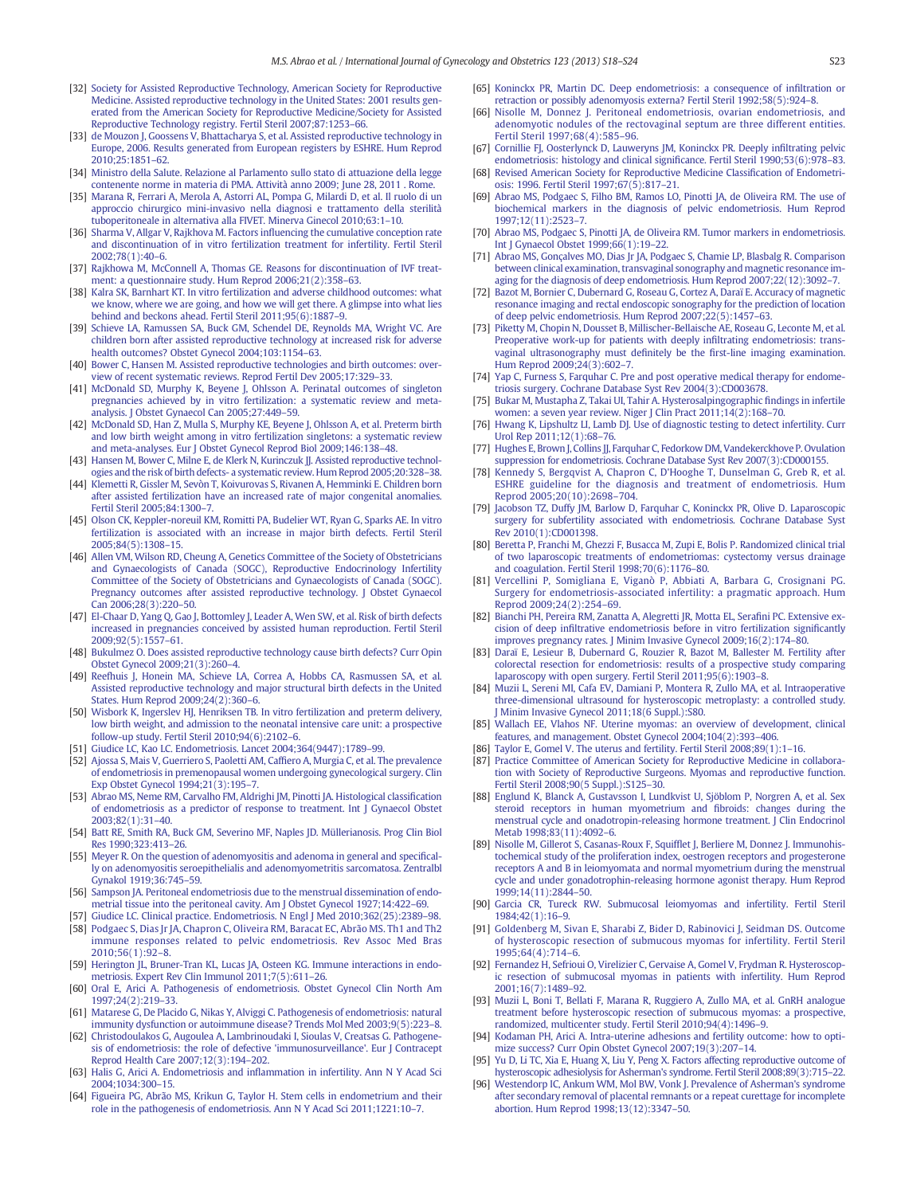- <span id="page-5-0"></span>[32] [Society for Assisted Reproductive Technology, American Society for Reproductive](http://refhub.elsevier.com/S0020-7292(13)00441-4/rf0490) [Medicine. Assisted reproductive technology in the United States: 2001 results gen](http://refhub.elsevier.com/S0020-7292(13)00441-4/rf0490)[erated from the American Society for Reproductive Medicine/Society for Assisted](http://refhub.elsevier.com/S0020-7292(13)00441-4/rf0490) [Reproductive Technology registry. Fertil Steril 2007;87:1253](http://refhub.elsevier.com/S0020-7292(13)00441-4/rf0490)–66.
- [33] [de Mouzon J, Goossens V, Bhattacharya S, et al. Assisted reproductive technology in](http://refhub.elsevier.com/S0020-7292(13)00441-4/rf0150) [Europe, 2006. Results generated from European registers by ESHRE. Hum Reprod](http://refhub.elsevier.com/S0020-7292(13)00441-4/rf0150) [2010;25:1851](http://refhub.elsevier.com/S0020-7292(13)00441-4/rf0150)–62.
- [34] [Ministro della Salute. Relazione al Parlamento sullo stato di attuazione della legge](http://refhub.elsevier.com/S0020-7292(13)00441-4/rf0495) [contenente norme in materia di PMA. Attività anno 2009; June 28, 2011 . Rome.](http://refhub.elsevier.com/S0020-7292(13)00441-4/rf0495)
- [35] [Marana R, Ferrari A, Merola A, Astorri AL, Pompa G, Milardi D, et al. Il ruolo di un](http://refhub.elsevier.com/S0020-7292(13)00441-4/rf0160) [approccio chirurgico mini-invasivo nella diagnosi e trattamento della sterilità](http://refhub.elsevier.com/S0020-7292(13)00441-4/rf0160) [tuboperitoneale in alternativa alla FIVET. Minerva Ginecol 2010;63:1](http://refhub.elsevier.com/S0020-7292(13)00441-4/rf0160)–10.
- [36] Sharma V, Allgar V, Rajkhova M, Factors influencing the cumulative conception rate [and discontinuation of in vitro fertilization treatment for infertility. Fertil Steril](http://refhub.elsevier.com/S0020-7292(13)00441-4/rf0165) [2002;78\(1\):40](http://refhub.elsevier.com/S0020-7292(13)00441-4/rf0165)–6.
- [37] [Rajkhowa M, McConnell A, Thomas GE. Reasons for discontinuation of IVF treat](http://refhub.elsevier.com/S0020-7292(13)00441-4/rf0170)[ment: a questionnaire study. Hum Reprod 2006;21\(2\):358](http://refhub.elsevier.com/S0020-7292(13)00441-4/rf0170)–63.
- [38] [Kalra SK, Barnhart KT. In vitro fertilization and adverse childhood outcomes: what](http://refhub.elsevier.com/S0020-7292(13)00441-4/rf0175) [we know, where we are going, and how we will get there. A glimpse into what lies](http://refhub.elsevier.com/S0020-7292(13)00441-4/rf0175) [behind and beckons ahead. Fertil Steril 2011;95\(6\):1887](http://refhub.elsevier.com/S0020-7292(13)00441-4/rf0175)–9.
- [39] [Schieve LA, Ramussen SA, Buck GM, Schendel DE, Reynolds MA, Wright VC. Are](http://refhub.elsevier.com/S0020-7292(13)00441-4/rf0180) [children born after assisted reproductive technology at increased risk for adverse](http://refhub.elsevier.com/S0020-7292(13)00441-4/rf0180) [health outcomes? Obstet Gynecol 2004;103:1154](http://refhub.elsevier.com/S0020-7292(13)00441-4/rf0180)–63.
- [40] [Bower C, Hansen M. Assisted reproductive technologies and birth outcomes: over](http://refhub.elsevier.com/S0020-7292(13)00441-4/rf0185)[view of recent systematic reviews. Reprod Fertil Dev 2005;17:329](http://refhub.elsevier.com/S0020-7292(13)00441-4/rf0185)–33.
- [41] [McDonald SD, Murphy K, Beyene J, Ohlsson A. Perinatal outcomes of singleton](http://refhub.elsevier.com/S0020-7292(13)00441-4/rf0190) [pregnancies achieved by in vitro fertilization: a systematic review and meta](http://refhub.elsevier.com/S0020-7292(13)00441-4/rf0190)[analysis. J Obstet Gynaecol Can 2005;27:449](http://refhub.elsevier.com/S0020-7292(13)00441-4/rf0190)–59.
- [42] [McDonald SD, Han Z, Mulla S, Murphy KE, Beyene J, Ohlsson A, et al. Preterm birth](http://refhub.elsevier.com/S0020-7292(13)00441-4/rf0195) [and low birth weight among in vitro fertilization singletons: a systematic review](http://refhub.elsevier.com/S0020-7292(13)00441-4/rf0195) [and meta-analyses. Eur J Obstet Gynecol Reprod Biol 2009;146:138](http://refhub.elsevier.com/S0020-7292(13)00441-4/rf0195)–48.
- [43] [Hansen M, Bower C, Milne E, de Klerk N, Kurinczuk JJ. Assisted reproductive technol](http://refhub.elsevier.com/S0020-7292(13)00441-4/rf0200)[ogies and the risk of birth defects- a systematic review. Hum Reprod 2005;20:328](http://refhub.elsevier.com/S0020-7292(13)00441-4/rf0200)–38.
- [44] [Klemetti R, Gissler M, Sevòn T, Koivurovas S, Rivanen A, Hemminki E. Children born](http://refhub.elsevier.com/S0020-7292(13)00441-4/rf0205) [after assisted fertilization have an increased rate of major congenital anomalies.](http://refhub.elsevier.com/S0020-7292(13)00441-4/rf0205) [Fertil Steril 2005;84:1300](http://refhub.elsevier.com/S0020-7292(13)00441-4/rf0205)–7.
- [45] [Olson CK, Keppler-noreuil KM, Romitti PA, Budelier WT, Ryan G, Sparks AE. In vitro](http://refhub.elsevier.com/S0020-7292(13)00441-4/rf0210) [fertilization is associated with an increase in major birth defects. Fertil Steril](http://refhub.elsevier.com/S0020-7292(13)00441-4/rf0210) [2005;84\(5\):1308](http://refhub.elsevier.com/S0020-7292(13)00441-4/rf0210)–15.
- [46] [Allen VM, Wilson RD, Cheung A, Genetics Committee of the Society of Obstetricians](http://refhub.elsevier.com/S0020-7292(13)00441-4/rf0215) [and Gynaecologists of Canada \(SOGC\), Reproductive Endocrinology Infertility](http://refhub.elsevier.com/S0020-7292(13)00441-4/rf0215) [Committee of the Society of Obstetricians and Gynaecologists of Canada \(SOGC\).](http://refhub.elsevier.com/S0020-7292(13)00441-4/rf0215) [Pregnancy outcomes after assisted reproductive technology. J Obstet Gynaecol](http://refhub.elsevier.com/S0020-7292(13)00441-4/rf0215) [Can 2006;28\(3\):220](http://refhub.elsevier.com/S0020-7292(13)00441-4/rf0215)–50.
- [47] [El-Chaar D, Yang Q, Gao J, Bottomley J, Leader A, Wen SW, et al. Risk of birth defects](http://refhub.elsevier.com/S0020-7292(13)00441-4/rf0220) [increased in pregnancies conceived by assisted human reproduction. Fertil Steril](http://refhub.elsevier.com/S0020-7292(13)00441-4/rf0220) [2009;92\(5\):1557](http://refhub.elsevier.com/S0020-7292(13)00441-4/rf0220)–61.
- [48] [Bukulmez O. Does assisted reproductive technology cause birth defects? Curr Opin](http://refhub.elsevier.com/S0020-7292(13)00441-4/rf0225) [Obstet Gynecol 2009;21\(3\):260](http://refhub.elsevier.com/S0020-7292(13)00441-4/rf0225)–4.
- [49] [Reefhuis J, Honein MA, Schieve LA, Correa A, Hobbs CA, Rasmussen SA, et al.](http://refhub.elsevier.com/S0020-7292(13)00441-4/rf0230) [Assisted reproductive technology and major structural birth defects in the United](http://refhub.elsevier.com/S0020-7292(13)00441-4/rf0230) [States. Hum Reprod 2009;24\(2\):360](http://refhub.elsevier.com/S0020-7292(13)00441-4/rf0230)–6.
- [50] [Wisbork K, Ingerslev HJ, Henriksen TB. In vitro fertilization and preterm delivery,](http://refhub.elsevier.com/S0020-7292(13)00441-4/rf0235) [low birth weight, and admission to the neonatal intensive care unit: a prospective](http://refhub.elsevier.com/S0020-7292(13)00441-4/rf0235) [follow-up study. Fertil Steril 2010;94\(6\):2102](http://refhub.elsevier.com/S0020-7292(13)00441-4/rf0235)–6.
- [51] [Giudice LC, Kao LC. Endometriosis. Lancet 2004;364\(9447\):1789](http://refhub.elsevier.com/S0020-7292(13)00441-4/rf0240)–99.
- [52] [Ajossa S, Mais V, Guerriero S, Paoletti AM, Caf](http://refhub.elsevier.com/S0020-7292(13)00441-4/rf0245)fiero A, Murgia C, et al. The prevalence [of endometriosis in premenopausal women undergoing gynecological surgery. Clin](http://refhub.elsevier.com/S0020-7292(13)00441-4/rf0245) [Exp Obstet Gynecol 1994;21\(3\):195](http://refhub.elsevier.com/S0020-7292(13)00441-4/rf0245)–7.
- [53] [Abrao MS, Neme RM, Carvalho FM, Aldrighi JM, Pinotti JA. Histological classi](http://refhub.elsevier.com/S0020-7292(13)00441-4/rf0250)fication [of endometriosis as a predictor of response to treatment. Int J Gynaecol Obstet](http://refhub.elsevier.com/S0020-7292(13)00441-4/rf0250) [2003;82\(1\):31](http://refhub.elsevier.com/S0020-7292(13)00441-4/rf0250)–40.
- [54] [Batt RE, Smith RA, Buck GM, Severino MF, Naples JD. Müllerianosis. Prog Clin Biol](http://refhub.elsevier.com/S0020-7292(13)00441-4/rf0255) [Res 1990;323:413](http://refhub.elsevier.com/S0020-7292(13)00441-4/rf0255)–26.
- [55] [Meyer R. On the question of adenomyositis and adenoma in general and speci](http://refhub.elsevier.com/S0020-7292(13)00441-4/rf0260)fical[ly on adenomyositis seroepithelialis and adenomyometritis sarcomatosa. Zentralbl](http://refhub.elsevier.com/S0020-7292(13)00441-4/rf0260) [Gynakol 1919;36:745](http://refhub.elsevier.com/S0020-7292(13)00441-4/rf0260)–59.
- [56] [Sampson JA. Peritoneal endometriosis due to the menstrual dissemination of endo](http://refhub.elsevier.com/S0020-7292(13)00441-4/rf0265)[metrial tissue into the peritoneal cavity. Am J Obstet Gynecol 1927;14:422](http://refhub.elsevier.com/S0020-7292(13)00441-4/rf0265)–69.
- [57] [Giudice LC. Clinical practice. Endometriosis. N Engl J Med 2010;362\(25\):2389](http://refhub.elsevier.com/S0020-7292(13)00441-4/rf0270)–98. [58] [Podgaec S, Dias Jr JA, Chapron C, Oliveira RM, Baracat EC, Abrão MS. Th1 and Th2](http://refhub.elsevier.com/S0020-7292(13)00441-4/rf0275) [immune responses related to pelvic endometriosis. Rev Assoc Med Bras](http://refhub.elsevier.com/S0020-7292(13)00441-4/rf0275) [2010;56\(1\):92](http://refhub.elsevier.com/S0020-7292(13)00441-4/rf0275)–8.
- [59] [Herington JL, Bruner-Tran KL, Lucas JA, Osteen KG. Immune interactions in endo](http://refhub.elsevier.com/S0020-7292(13)00441-4/rf0280)[metriosis. Expert Rev Clin Immunol 2011;7\(5\):611](http://refhub.elsevier.com/S0020-7292(13)00441-4/rf0280)–26.
- [60] [Oral E, Arici A. Pathogenesis of endometriosis. Obstet Gynecol Clin North Am](http://refhub.elsevier.com/S0020-7292(13)00441-4/rf0285) [1997;24\(2\):219](http://refhub.elsevier.com/S0020-7292(13)00441-4/rf0285)–33.
- [61] [Matarese G, De Placido G, Nikas Y, Alviggi C. Pathogenesis of endometriosis: natural](http://refhub.elsevier.com/S0020-7292(13)00441-4/rf0290) [immunity dysfunction or autoimmune disease? Trends Mol Med 2003;9\(5\):223](http://refhub.elsevier.com/S0020-7292(13)00441-4/rf0290)–8.
- [62] [Christodoulakos G, Augoulea A, Lambrinoudaki I, Sioulas V, Creatsas G. Pathogene](http://refhub.elsevier.com/S0020-7292(13)00441-4/rf0295)[sis of endometriosis: the role of defective 'immunosurveillance'. Eur J Contracept](http://refhub.elsevier.com/S0020-7292(13)00441-4/rf0295) [Reprod Health Care 2007;12\(3\):194](http://refhub.elsevier.com/S0020-7292(13)00441-4/rf0295)–202.
- [63] Halis G, Arici A. Endometriosis and infl[ammation in infertility. Ann N Y Acad Sci](http://refhub.elsevier.com/S0020-7292(13)00441-4/rf0300) [2004;1034:300](http://refhub.elsevier.com/S0020-7292(13)00441-4/rf0300)–15.
- [64] [Figueira PG, Abrão MS, Krikun G, Taylor H. Stem cells in endometrium and their](http://refhub.elsevier.com/S0020-7292(13)00441-4/rf0305) [role in the pathogenesis of endometriosis. Ann N Y Acad Sci 2011;1221:10](http://refhub.elsevier.com/S0020-7292(13)00441-4/rf0305)–7.
- [65] [Koninckx PR, Martin DC. Deep endometriosis: a consequence of in](http://refhub.elsevier.com/S0020-7292(13)00441-4/rf0310)filtration or [retraction or possibly adenomyosis externa? Fertil Steril 1992;58\(5\):924](http://refhub.elsevier.com/S0020-7292(13)00441-4/rf0310)–8.
- [66] [Nisolle M, Donnez J. Peritoneal endometriosis, ovarian endometriosis, and](http://refhub.elsevier.com/S0020-7292(13)00441-4/rf0315) [adenomyotic nodules of the rectovaginal septum are three different entities.](http://refhub.elsevier.com/S0020-7292(13)00441-4/rf0315) [Fertil Steril 1997;68\(4\):585](http://refhub.elsevier.com/S0020-7292(13)00441-4/rf0315)–96.
- [67] [Cornillie FJ, Oosterlynck D, Lauweryns JM, Koninckx PR. Deeply in](http://refhub.elsevier.com/S0020-7292(13)00441-4/rf0320)filtrating pelvic [endometriosis: histology and clinical signi](http://refhub.elsevier.com/S0020-7292(13)00441-4/rf0320)ficance. Fertil Steril 1990;53(6):978–83.
- [68] [Revised American Society for Reproductive Medicine Classi](http://refhub.elsevier.com/S0020-7292(13)00441-4/rf0500)fication of Endometri[osis: 1996. Fertil Steril 1997;67\(5\):817](http://refhub.elsevier.com/S0020-7292(13)00441-4/rf0500)–21.
- [69] [Abrao MS, Podgaec S, Filho BM, Ramos LO, Pinotti JA, de Oliveira RM. The use of](http://refhub.elsevier.com/S0020-7292(13)00441-4/rf0325) [biochemical markers in the diagnosis of pelvic endometriosis. Hum Reprod](http://refhub.elsevier.com/S0020-7292(13)00441-4/rf0325) [1997;12\(11\):2523](http://refhub.elsevier.com/S0020-7292(13)00441-4/rf0325)–7.
- [70] [Abrao MS, Podgaec S, Pinotti JA, de Oliveira RM. Tumor markers in endometriosis.](http://refhub.elsevier.com/S0020-7292(13)00441-4/rf0330) [Int J Gynaecol Obstet 1999;66\(1\):19](http://refhub.elsevier.com/S0020-7292(13)00441-4/rf0330)–22.
- [71] [Abrao MS, Gonçalves MO, Dias Jr JA, Podgaec S, Chamie LP, Blasbalg R. Comparison](http://refhub.elsevier.com/S0020-7292(13)00441-4/rf0335) [between clinical examination, transvaginal sonography and magnetic resonance im](http://refhub.elsevier.com/S0020-7292(13)00441-4/rf0335)[aging for the diagnosis of deep endometriosis. Hum Reprod 2007;22\(12\):3092](http://refhub.elsevier.com/S0020-7292(13)00441-4/rf0335)–7.
- [72] [Bazot M, Bornier C, Dubernard G, Roseau G, Cortez A, Daraï E. Accuracy of magnetic](http://refhub.elsevier.com/S0020-7292(13)00441-4/rf0340) [resonance imaging and rectal endoscopic sonography for the prediction of location](http://refhub.elsevier.com/S0020-7292(13)00441-4/rf0340) [of deep pelvic endometriosis. Hum Reprod 2007;22\(5\):1457](http://refhub.elsevier.com/S0020-7292(13)00441-4/rf0340)–63.
- [73] [Piketty M, Chopin N, Dousset B, Millischer-Bellaische AE, Roseau G, Leconte M, et al.](http://refhub.elsevier.com/S0020-7292(13)00441-4/rf0345) [Preoperative work-up for patients with deeply in](http://refhub.elsevier.com/S0020-7292(13)00441-4/rf0345)filtrating endometriosis: trans[vaginal ultrasonography must de](http://refhub.elsevier.com/S0020-7292(13)00441-4/rf0345)finitely be the first-line imaging examination. [Hum Reprod 2009;24\(3\):602](http://refhub.elsevier.com/S0020-7292(13)00441-4/rf0345)–7.
- [74] [Yap C, Furness S, Farquhar C. Pre and post operative medical therapy for endome](http://refhub.elsevier.com/S0020-7292(13)00441-4/rf0350)[triosis surgery. Cochrane Database Syst Rev 2004\(3\):CD003678.](http://refhub.elsevier.com/S0020-7292(13)00441-4/rf0350)
- [75] [Bukar M, Mustapha Z, Takai UI, Tahir A. Hysterosalpingographic](http://refhub.elsevier.com/S0020-7292(13)00441-4/rf0355) findings in infertile [women: a seven year review. Niger J Clin Pract 2011;14\(2\):168](http://refhub.elsevier.com/S0020-7292(13)00441-4/rf0355)–70.
- [76] [Hwang K, Lipshultz LI, Lamb DJ. Use of diagnostic testing to detect infertility. Curr](http://refhub.elsevier.com/S0020-7292(13)00441-4/rf0360) [Urol Rep 2011;12\(1\):68](http://refhub.elsevier.com/S0020-7292(13)00441-4/rf0360)–76.
- [77] [Hughes E, Brown J, Collins JJ, Farquhar C, Fedorkow DM, Vandekerckhove P. Ovulation](http://refhub.elsevier.com/S0020-7292(13)00441-4/rf0365) [suppression for endometriosis. Cochrane Database Syst Rev 2007\(3\):CD000155.](http://refhub.elsevier.com/S0020-7292(13)00441-4/rf0365)
- [78] [Kennedy S, Bergqvist A, Chapron C, D'Hooghe T, Dunselman G, Greb R, et al.](http://refhub.elsevier.com/S0020-7292(13)00441-4/rf0370) [ESHRE guideline for the diagnosis and treatment of endometriosis. Hum](http://refhub.elsevier.com/S0020-7292(13)00441-4/rf0370) [Reprod 2005;20\(10\):2698](http://refhub.elsevier.com/S0020-7292(13)00441-4/rf0370)–704.
- [79] [Jacobson TZ, Duffy JM, Barlow D, Farquhar C, Koninckx PR, Olive D. Laparoscopic](http://refhub.elsevier.com/S0020-7292(13)00441-4/rf0375) [surgery for subfertility associated with endometriosis. Cochrane Database Syst](http://refhub.elsevier.com/S0020-7292(13)00441-4/rf0375) [Rev 2010\(1\):CD001398.](http://refhub.elsevier.com/S0020-7292(13)00441-4/rf0375)
- [80] [Beretta P, Franchi M, Ghezzi F, Busacca M, Zupi E, Bolis P. Randomized clinical trial](http://refhub.elsevier.com/S0020-7292(13)00441-4/rf0380) [of two laparoscopic treatments of endometriomas: cystectomy versus drainage](http://refhub.elsevier.com/S0020-7292(13)00441-4/rf0380) [and coagulation. Fertil Steril 1998;70\(6\):1176](http://refhub.elsevier.com/S0020-7292(13)00441-4/rf0380)–80.
- [81] Vercellini P, Somigliana E, Viganò P, [Abbiati A, Barbara G, Crosignani PG.](http://refhub.elsevier.com/S0020-7292(13)00441-4/rf0385) Surgery for endometriosis-associated [infertility: a pragmatic approach. Hum](http://refhub.elsevier.com/S0020-7292(13)00441-4/rf0385) [Reprod 2009;24\(2\):254](http://refhub.elsevier.com/S0020-7292(13)00441-4/rf0385)–69.
- [82] [Bianchi PH, Pereira RM, Zanatta A, Alegretti JR, Motta EL, Sera](http://refhub.elsevier.com/S0020-7292(13)00441-4/rf0390)fini PC. Extensive excision of deep infi[ltrative endometriosis before in vitro fertilization signi](http://refhub.elsevier.com/S0020-7292(13)00441-4/rf0390)ficantly [improves pregnancy rates. J Minim Invasive Gynecol 2009;16\(2\):174](http://refhub.elsevier.com/S0020-7292(13)00441-4/rf0390)–80.
- [83] [Daraï E, Lesieur B, Dubernard G, Rouzier R, Bazot M, Ballester M. Fertility after](http://refhub.elsevier.com/S0020-7292(13)00441-4/rf0395) [colorectal resection for endometriosis: results of a prospective study comparing](http://refhub.elsevier.com/S0020-7292(13)00441-4/rf0395) [laparoscopy with open surgery. Fertil Steril 2011;95\(6\):1903](http://refhub.elsevier.com/S0020-7292(13)00441-4/rf0395)–8.
- [84] [Muzii L, Sereni MI, Cafa EV, Damiani P, Montera R, Zullo MA, et al. Intraoperative](http://refhub.elsevier.com/S0020-7292(13)00441-4/rf0400) [three-dimensional ultrasound for hysteroscopic metroplasty: a controlled study.](http://refhub.elsevier.com/S0020-7292(13)00441-4/rf0400) [J Minim Invasive Gynecol 2011;18\(6 Suppl.\):S80.](http://refhub.elsevier.com/S0020-7292(13)00441-4/rf0400)
- [85] [Wallach EE, Vlahos NF. Uterine myomas: an overview of development, clinical](http://refhub.elsevier.com/S0020-7292(13)00441-4/rf0405) [features, and management. Obstet Gynecol 2004;104\(2\):393](http://refhub.elsevier.com/S0020-7292(13)00441-4/rf0405)–406.
- [86] [Taylor E, Gomel V. The uterus and fertility. Fertil Steril 2008;89\(1\):1](http://refhub.elsevier.com/S0020-7292(13)00441-4/rf0410)–16.
- [Practice Committee of American Society for Reproductive Medicine in collabora](http://refhub.elsevier.com/S0020-7292(13)00441-4/rf0505)[tion with Society of Reproductive Surgeons. Myomas and reproductive function.](http://refhub.elsevier.com/S0020-7292(13)00441-4/rf0505) [Fertil Steril 2008;90\(5 Suppl.\):S125](http://refhub.elsevier.com/S0020-7292(13)00441-4/rf0505)–30.
- [88] [Englund K, Blanck A, Gustavsson I, Lundkvist U, Sjöblom P, Norgren A, et al. Sex](http://refhub.elsevier.com/S0020-7292(13)00441-4/rf0415) [steroid receptors in human myometrium and](http://refhub.elsevier.com/S0020-7292(13)00441-4/rf0415) fibroids: changes during the [menstrual cycle and onadotropin-releasing hormone treatment. J Clin Endocrinol](http://refhub.elsevier.com/S0020-7292(13)00441-4/rf0415) [Metab 1998;83\(11\):4092](http://refhub.elsevier.com/S0020-7292(13)00441-4/rf0415)–6.
- [89] [Nisolle M, Gillerot S, Casanas-Roux F, Squif](http://refhub.elsevier.com/S0020-7292(13)00441-4/rf0420)flet J, Berliere M, Donnez J. Immunohis[tochemical study of the proliferation index, oestrogen receptors and progesterone](http://refhub.elsevier.com/S0020-7292(13)00441-4/rf0420) [receptors A and B in leiomyomata and normal myometrium during the menstrual](http://refhub.elsevier.com/S0020-7292(13)00441-4/rf0420) [cycle and under gonadotrophin-releasing hormone agonist therapy. Hum Reprod](http://refhub.elsevier.com/S0020-7292(13)00441-4/rf0420) [1999;14\(11\):2844](http://refhub.elsevier.com/S0020-7292(13)00441-4/rf0420)–50.
- [90] [Garcia CR, Tureck RW. Submucosal leiomyomas and infertility. Fertil Steril](http://refhub.elsevier.com/S0020-7292(13)00441-4/rf0425) [1984;42\(1\):16](http://refhub.elsevier.com/S0020-7292(13)00441-4/rf0425)–9.
- [91] [Goldenberg M, Sivan E, Sharabi Z, Bider D, Rabinovici J, Seidman DS. Outcome](http://refhub.elsevier.com/S0020-7292(13)00441-4/rf0430) [of hysteroscopic resection of submucous myomas for infertility. Fertil Steril](http://refhub.elsevier.com/S0020-7292(13)00441-4/rf0430) [1995;64\(4\):714](http://refhub.elsevier.com/S0020-7292(13)00441-4/rf0430)–6.
- [92] [Fernandez H, Sefrioui O, Virelizier C, Gervaise A, Gomel V, Frydman R. Hysteroscop](http://refhub.elsevier.com/S0020-7292(13)00441-4/rf0435)[ic resection of submucosal myomas in patients with infertility. Hum Reprod](http://refhub.elsevier.com/S0020-7292(13)00441-4/rf0435) [2001;16\(7\):1489](http://refhub.elsevier.com/S0020-7292(13)00441-4/rf0435)–92.
- [93] [Muzii L, Boni T, Bellati F, Marana R, Ruggiero A, Zullo MA, et al. GnRH analogue](http://refhub.elsevier.com/S0020-7292(13)00441-4/rf0440) [treatment before hysteroscopic resection of submucous myomas: a prospective,](http://refhub.elsevier.com/S0020-7292(13)00441-4/rf0440) [randomized, multicenter study. Fertil Steril 2010;94\(4\):1496](http://refhub.elsevier.com/S0020-7292(13)00441-4/rf0440)–9.
- [94] [Kodaman PH, Arici A. Intra-uterine adhesions and fertility outcome: how to opti](http://refhub.elsevier.com/S0020-7292(13)00441-4/rf0445)[mize success? Curr Opin Obstet Gynecol 2007;19\(3\):207](http://refhub.elsevier.com/S0020-7292(13)00441-4/rf0445)–14.
- [95] [Yu D, Li TC, Xia E, Huang X, Liu Y, Peng X. Factors affecting reproductive outcome of](http://refhub.elsevier.com/S0020-7292(13)00441-4/rf0450) [hysteroscopic adhesiolysis for Asherman's syndrome. Fertil Steril 2008;89\(3\):715](http://refhub.elsevier.com/S0020-7292(13)00441-4/rf0450)–22.
- [96] [Westendorp IC, Ankum WM, Mol BW, Vonk J. Prevalence of Asherman's syndrome](http://refhub.elsevier.com/S0020-7292(13)00441-4/rf0455) [after secondary removal of placental remnants or a repeat curettage for incomplete](http://refhub.elsevier.com/S0020-7292(13)00441-4/rf0455) [abortion. Hum Reprod 1998;13\(12\):3347](http://refhub.elsevier.com/S0020-7292(13)00441-4/rf0455)–50.